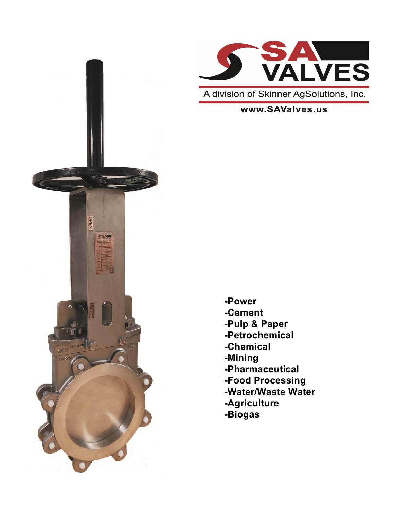



A division of Skinner AgSolutions, Inc.

www.SAValves.us

- **-Power -Cement -Pulp & Paper -Petrochemical -Chemical -Mining -Pharmaceutical -Food Processing -Water/Waste Water -Agriculture**
- **-Biogas**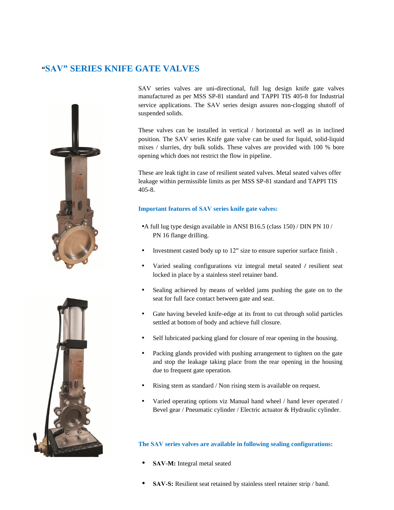### **"SAV" SERIES KNIFE GATE VALVES**





SAV series valves are uni-directional, full lug design knife gate valves manufactured as per MSS SP-81 standard and TAPPI TIS 405-8 for Industrial service applications. The SAV series design assures non-clogging shutoff of suspended solids.

These valves can be installed in vertical / horizontal as well as in inclined position. The SAV series Knife gate valve can be used for liquid, solid-liquid mixes / slurries, dry bulk solids. These valves are provided with 100 % bore opening which does not restrict the flow in pipeline.

These are leak tight in case of resilient seated valves. Metal seated valves offer leakage within permissible limits as per MSS SP-81 standard and TAPPI TIS 405-8.

#### **Important features of SAV series knife gate valves:**

- A full lug type design available in ANSI B16.5 (class 150) / DIN PN 10 / PN 16 flange drilling.
- Investment casted body up to 12" size to ensure superior surface finish .
- Varied sealing configurations viz integral metal seated **/** resilient seat locked in place by a stainless steel retainer band.
- Sealing achieved by means of welded jams pushing the gate on to the seat for full face contact between gate and seat.
- Gate having beveled knife-edge at its front to cut through solid particles settled at bottom of body and achieve full closure.
- Self lubricated packing gland for closure of rear opening in the housing.
- Packing glands provided with pushing arrangement to tighten on the gate and stop the leakage taking place from the rear opening in the housing due to frequent gate operation.
- Rising stem as standard / Non rising stem is available on request.
- Varied operating options viz Manual hand wheel / hand lever operated / Bevel gear / Pneumatic cylinder / Electric actuator & Hydraulic cylinder.

#### **The SAV series valves are available in following sealing configurations:**

- **SAV-M:** Integral metal seated
- **SAV-S:** Resilient seat retained by stainless steel retainer strip / band.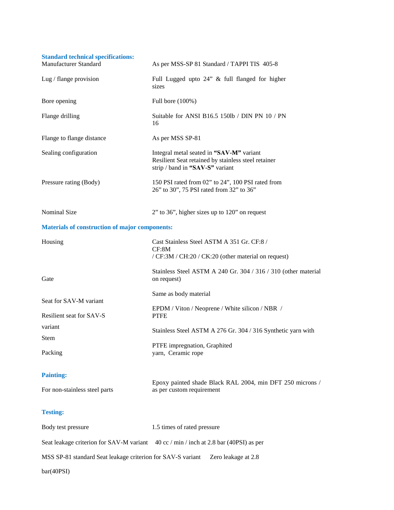| <b>Standard technical specifications:</b><br>Manufacturer Standard | As per MSS-SP 81 Standard / TAPPI TIS 405-8                                                                                        |
|--------------------------------------------------------------------|------------------------------------------------------------------------------------------------------------------------------------|
| Lug / flange provision                                             | Full Lugged upto 24" & full flanged for higher<br>sizes                                                                            |
| Bore opening                                                       | Full bore (100%)                                                                                                                   |
| Flange drilling                                                    | Suitable for ANSI B16.5 150lb / DIN PN $10$ / PN<br>16                                                                             |
| Flange to flange distance                                          | As per MSS SP-81                                                                                                                   |
| Sealing configuration                                              | Integral metal seated in "SAV-M" variant<br>Resilient Seat retained by stainless steel retainer<br>strip / band in "SAV-S" variant |
| Pressure rating (Body)                                             | 150 PSI rated from 02" to 24", 100 PSI rated from<br>26" to 30", 75 PSI rated from 32" to 36"                                      |
| Nominal Size                                                       | $2$ " to 36", higher sizes up to 120" on request                                                                                   |
| <b>Materials of construction of major components:</b>              |                                                                                                                                    |
| Housing                                                            | Cast Stainless Steel ASTM A 351 Gr. CF:8 /<br>CF:8M<br>/ CF:3M / CH:20 / CK:20 (other material on request)                         |
| Gate                                                               | Stainless Steel ASTM A 240 Gr. 304 / 316 / 310 (other material<br>on request)                                                      |
| Seat for SAV-M variant                                             | Same as body material                                                                                                              |
| Resilient seat for SAV-S                                           | EPDM / Viton / Neoprene / White silicon / NBR /<br><b>PTFE</b>                                                                     |
| variant                                                            | Stainless Steel ASTM A 276 Gr. 304 / 316 Synthetic yarn with                                                                       |
| Stem<br>Packing                                                    | PTFE impregnation, Graphited<br>yarn, Ceramic rope                                                                                 |
| <b>Painting:</b>                                                   |                                                                                                                                    |
| For non-stainless steel parts                                      | Epoxy painted shade Black RAL 2004, min DFT 250 microns /<br>as per custom requirement                                             |
| <b>Testing:</b>                                                    |                                                                                                                                    |
| Body test pressure                                                 | 1.5 times of rated pressure                                                                                                        |
|                                                                    | Seat leakage criterion for SAV-M variant 40 cc / min / inch at 2.8 bar (40PSI) as per                                              |
| MSS SP-81 standard Seat leakage criterion for SAV-S variant        | Zero leakage at 2.8                                                                                                                |

bar(40PSI)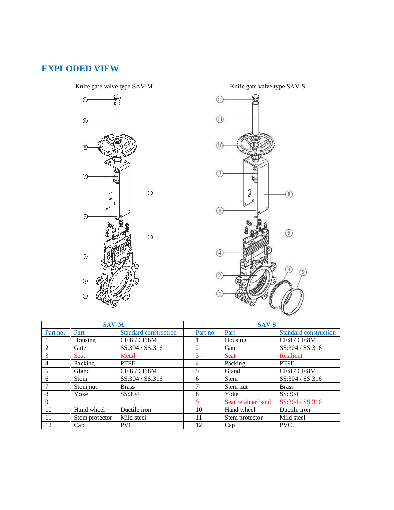## **EXPLODED VIEW**

Knife gate valve type SAV-M Knife gate valve type SAV-S



 $\textcircled{12}$  $\textcircled{\scriptsize{1}}$  $(10)$  $\sqrt{7}$ Ø  $\circledS$  $\circledcirc$ (5)  $\circled{4}$  $(3)$ 0  $\overline{c}$  $\Omega$ 

|          | <b>SAV-M</b>   |                              | <b>SAV-S</b> |                    |                              |
|----------|----------------|------------------------------|--------------|--------------------|------------------------------|
| Part no. | Part           | <b>Standard construction</b> | Part no.     | Part               | <b>Standard construction</b> |
|          | Housing        | CF:8 / CF:8M                 |              | Housing            | CF:8 / CF:8M                 |
| 2        | Gate           | SS:304 / SS:316              | 2            | Gate               | SS:304 / SS:316              |
| 3        | <b>Seat</b>    | Metal                        | 3            | <b>Seat</b>        | Resilient                    |
| 4        | Packing        | <b>PTFE</b>                  | 4            | Packing            | <b>PTFE</b>                  |
| 5        | Gland          | CF:8 / CF:8M                 | 5            | Gland              | CF:8 / CF:8M                 |
| 6        | <b>Stem</b>    | SS:304 / SS:316              | 6            | <b>Stem</b>        | SS:304 / SS:316              |
|          | Stem nut       | <b>Brass</b>                 | ┑            | Stem nut           | <b>Brass</b>                 |
| 8        | Yoke           | SS:304                       | 8            | Yoke               | SS:304                       |
| 9        |                |                              | 9            | Seat retainer band | SS:304 / SS:316              |
| 10       | Hand wheel     | Ductile iron                 | 10           | Hand wheel         | Ductile iron                 |
| 11       | Stem protector | Mild steel                   | 11           | Stem protector     | Mild steel                   |
| 12       | Cap            | <b>PVC</b>                   | 12           | Cap                | <b>PVC</b>                   |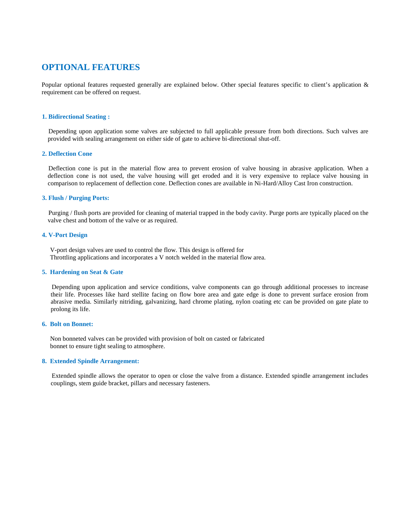### **OPTIONAL FEATURES**

Popular optional features requested generally are explained below. Other special features specific to client's application & **1. Bidirectional Seating :** requirement can be offered on request.

Depending upon application some valves are subjected to full applicable pressure from both directions. Such valves are provided with sealing arrangement on either side of gate to achieve bi-directional shut-off. **2. Bidirectional Seating :**<br>Depending upon applica<br>provided with sealing arra<br>**2. Deflection Cone** 

Deflection cone is put in the material flow area to prevent erosion of valve housing in abrasive application. When a deflection cone is not used, the valve housing will get eroded and it is very expensive to replace valve housing in comparison to replacement of deflection cone. Deflection cones are available in Ni-Hard/Alloy Cast Iron construction. **3. Flush / Purging Ports:**<br>**3. Flush / Purging Ports:** 

Purging / flush ports are provided for cleaning of material trapped in the body cavity. Purge ports are typically placed on the valve chest and bottom of the valve or as required. **4. Flush / Purging Ports:**<br>
Purging / flush ports are posted and bottom of<br> **4. V-Port Design** 

V-port design valves are used to control the flow. This design is offered for Throttling applications and incorporates a V notch welded in the material flow area. **4. V-Port Design<br>
V-port design valves are used to con<br>
Throttling applications and incorpora<br>
5. Hardening on Seat & Gate** 

Depending upon application and service conditions, valve components can go through additional processes to increase their life. Processes like hard stellite facing on flow bore area and gate edge is done to prevent surface erosion from abrasive media. Similarly nitriding, galvanizing, hard chrome plating, nylon coating etc can be provided on gate plate to prolong its life. **Example 16. Booking** upon appl<br>their life. Processes li<br>abrasive media. Simila<br>prolong its life.<br>**6. Bolt on Bonnet:** 

Non bonneted valves can be provided with provision of bolt on casted or fabricated bonnet to ensure tight sealing to atmosphere. **8. Bolt on Bonnet:**<br>Non bonneted valves can be provided wird bonnet to ensure tight sealing to atmosph<br>8. Extended Spindle Arrangement:

Extended spindle allows the operator to open or close the valve from a distance. Extended spindle arrangement includes couplings, stem guide bracket, pillars and necessary fasteners.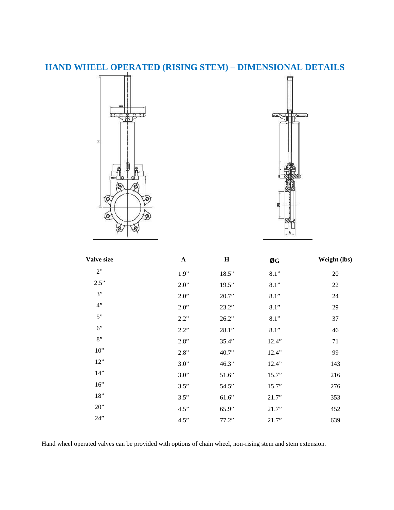## **HAND WHEEL OPERATED (RISING STEM) – DIMENSIONAL DETAILS**





| <b>Valve size</b> | $\mathbf A$ | $\mathbf H$ | ØG    | Weight (lbs) |
|-------------------|-------------|-------------|-------|--------------|
| 2"                | 1.9"        | 18.5"       | 8.1"  | 20           |
| 2.5"              | 2.0"        | 19.5"       | 8.1"  | 22           |
| 3"                | 2.0"        | 20.7"       | 8.1"  | 24           |
| 4"                | 2.0"        | 23.2"       | 8.1"  | 29           |
| 5"                | 2.2"        | 26.2"       | 8.1"  | 37           |
| 6"                | 2.2"        | 28.1"       | 8.1"  | 46           |
| 8"                | 2.8"        | 35.4"       | 12.4" | 71           |
| 10"               | 2.8"        | 40.7"       | 12.4" | 99           |
| 12"               | 3.0"        | 46.3"       | 12.4" | 143          |
| 14"               | 3.0"        | 51.6"       | 15.7" | 216          |
| 16"               | 3.5"        | 54.5"       | 15.7" | 276          |
| 18"               | 3.5"        | 61.6"       | 21.7" | 353          |
| 20"               | 4.5"        | 65.9"       | 21.7" | 452          |
| 24"               | 4.5"        | 77.2"       | 21.7" | 639          |

Hand wheel operated valves can be provided with options of chain wheel, non-rising stem and stem extension.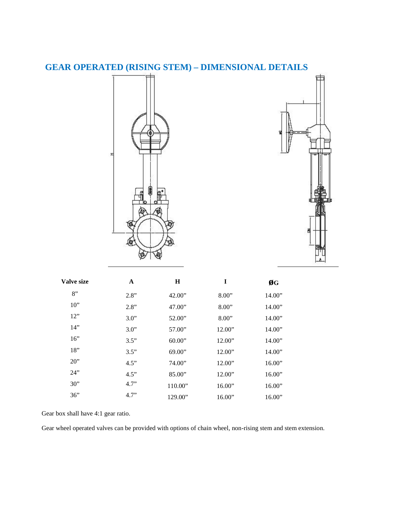



| <b>Valve size</b> | A    | $\bf H$ | I      | ØG     |  |
|-------------------|------|---------|--------|--------|--|
| 8"                | 2.8" | 42.00"  | 8.00"  | 14.00" |  |
| 10"               | 2.8" | 47.00"  | 8.00"  | 14.00" |  |
| 12"               | 3.0" | 52.00"  | 8.00"  | 14.00" |  |
| 14"               | 3.0" | 57.00"  | 12.00" | 14.00" |  |
| 16"               | 3.5" | 60.00"  | 12.00" | 14.00" |  |
| 18"               | 3.5" | 69.00"  | 12.00" | 14.00" |  |
| 20"               | 4.5" | 74.00"  | 12.00" | 16.00" |  |
| 24"               | 4.5" | 85.00"  | 12.00" | 16.00" |  |
| 30"               | 4.7" | 110.00" | 16.00" | 16.00" |  |
| 36"               | 4.7" | 129.00" | 16.00" | 16.00" |  |

Gear box shall have 4:1 gear ratio.

Gear wheel operated valves can be provided with options of chain wheel, non-rising stem and stem extension.

## **GEAR OPERATED (RISING STEM) – DIMENSIONAL DETAILS**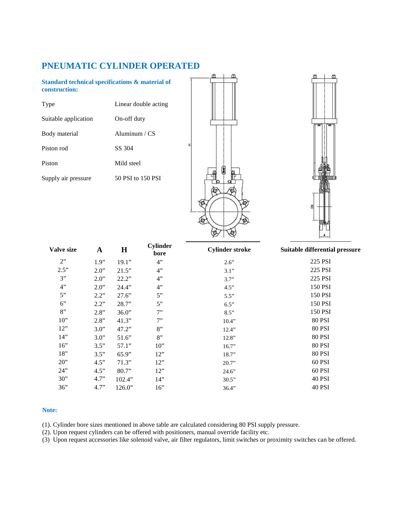### **PNEUMATIC CYLINDER OPERATED**

**Standard technical specifications & material of construction:**

Type Linear double acting

Suitable application On-off duty

Body material Aluminum / CS

Piston rod SS 304

Piston Mild steel

Supply air pressure 50 PSI to 150 PSI





| <b>Valve size</b> | $\mathbf A$ | $\mathbf H$ | <b>Cylinder</b><br>bore | <b>Cylinder stroke</b> | Suitable differential pressure |
|-------------------|-------------|-------------|-------------------------|------------------------|--------------------------------|
| 2"                | 1.9"        | 19.1"       | 4"                      | 2.6"                   | 225 PSI                        |
| 2.5"              | 2.0"        | 21.5"       | 4"                      | 3.1"                   | 225 PSI                        |
| 3"                | 2.0"        | 22.2"       | 4"                      | 3.7"                   | 225 PSI                        |
| 4"                | 2.0"        | 24.4"       | 4"                      | 4.5"                   | 150 PSI                        |
| 5"                | 2.2"        | 27.6"       | 5"                      | 5.5"                   | 150 PSI                        |
| 6"                | 2.2"        | 28.7"       | 5"                      | 6.5"                   | 150 PSI                        |
| 8"                | 2.8"        | 36.0"       | 7"                      | 8.5"                   | 150 PSI                        |
| 10"               | 2.8"        | 41.3"       | 7"                      | 10.4"                  | <b>80 PSI</b>                  |
| 12"               | 3.0"        | 47.2"       | 8"                      | 12.4"                  | <b>80 PSI</b>                  |
| 14"               | 3.0"        | 51.6"       | 8"                      | 12.8"                  | <b>80 PSI</b>                  |
| 16"               | 3.5"        | 57.1"       | 10"                     | 16.7"                  | <b>80 PSI</b>                  |
| 18"               | 3.5"        | 65.9"       | 12"                     | 18.7"                  | <b>80 PSI</b>                  |
| 20"               | 4.5"        | 71.3"       | 12"                     | 20.7"                  | 60 PSI                         |
| 24"               | 4.5"        | 80.7"       | 12"                     | 24.6"                  | 60 PSI                         |
| 30"               | 4.7"        | 102.4"      | 14"                     | 30.5"                  | 40 PSI                         |
| 36"               | 4.7"        | 126.0"      | 16"                     | 36.4"                  | <b>40 PSI</b>                  |

#### **Note:**

(1). Cylinder bore sizes mentioned in above table are calculated considering 80 PSI supply pressure.

(2). Upon request cylinders can be offered with positioners, manual override facility etc.

(3) Upon request accessories like solenoid valve, air filter regulators, limit switches or proximity switches can be offered.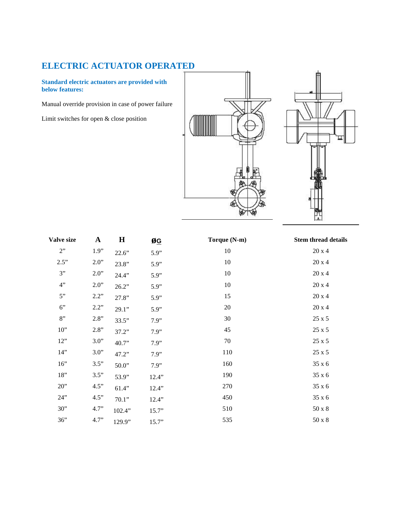## **ELECTRIC ACTUATOR OPERATED**

**Standard electric actuators are provided with below features:**

Manual override provision in case of power failure

Limit switches for open & close position





| Valve size | $\mathbf{A}$ | $\bf H$ | ØG    | Torque (N-m) | <b>Stem thread details</b> |
|------------|--------------|---------|-------|--------------|----------------------------|
| 2"         | 1.9"         | 22.6"   | 5.9"  | 10           | 20x4                       |
| 2.5"       | 2.0"         | 23.8"   | 5.9"  | 10           | 20x4                       |
| 3"         | 2.0"         | 24.4"   | 5.9"  | 10           | 20x4                       |
| 4"         | 2.0"         | 26.2"   | 5.9"  | 10           | $20 \times 4$              |
| 5"         | 2.2"         | 27.8"   | 5.9"  | 15           | $20 \times 4$              |
| 6"         | 2.2"         | 29.1"   | 5.9"  | 20           | 20 x 4                     |
| 8"         | 2.8"         | 33.5"   | 7.9"  | 30           | 25 x 5                     |
| $10"$      | $2.8"$       | 37.2"   | 7.9"  | 45           | 25 x 5                     |
| 12"        | 3.0"         | 40.7"   | 7.9"  | 70           | 25 x 5                     |
| 14"        | 3.0"         | 47.2"   | 7.9"  | 110          | 25 x 5                     |
| 16"        | 3.5"         | 50.0"   | 7.9"  | 160          | 35 x 6                     |
| $18"$      | 3.5"         | 53.9"   | 12.4" | 190          | 35 x 6                     |
| 20"        | 4.5"         | 61.4"   | 12.4" | 270          | 35 x 6                     |
| 24"        | 4.5"         | 70.1"   | 12.4" | 450          | 35 x 6                     |
| 30"        | 4.7"         | 102.4"  | 15.7" | 510          | $50 \times 8$              |
| 36"        | 4.7"         | 129.9"  | 15.7" | 535          | $50 \times 8$              |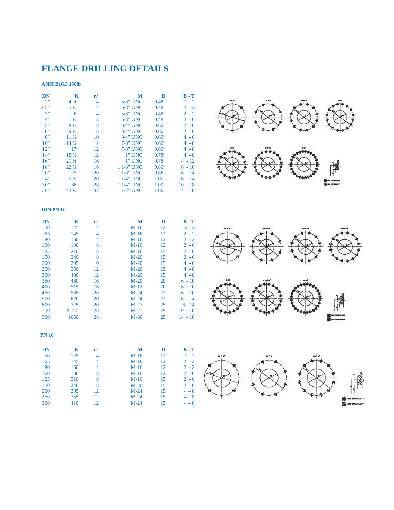## **FLANGE DRILLING DETAILS**

#### **ANSI B16.5 150lb**

| <b>DN</b><br>2"<br>2.5"<br>3"<br>4"<br>5"<br>6"<br>8"<br>10"<br>12"<br>14"<br>16"<br>18"<br>20"<br>24"<br>30"              | $\mathbf K$<br>$4 \frac{3}{4}$<br>$5\frac{1}{2}$<br>6"<br>$7\frac{1}{2}$<br>$8\frac{1}{2}$<br>$9\frac{1}{2}$<br>1134"<br>$14\frac{1}{4}$<br>17"<br>18 3/4"<br>$21\frac{1}{4}$<br>22 3/4"<br>25"<br>29 1/2"<br>36" | $\mathbf{n}^\circ$<br>$\overline{4}$<br>4<br>4<br>$\boldsymbol{8}$<br>$\boldsymbol{8}$<br>$\boldsymbol{8}$<br>10<br>12<br>12<br>12<br>16<br>16<br>20<br>20<br>28 | M<br>5/8" UNC<br>5/8" UNC<br>5/8" UNC<br>5/8" UNC<br>3/4" UNC<br>3/4" UNC<br>3/4" UNC<br>$7/8$ " UNC<br>7/8" UNC<br>$1$ " UNC<br>$1$ " UNC<br>1 1/8" UNC<br>1 1/8" UNC<br>1 1/4" UNC<br>1 1/4" UNC | D<br>0.48"<br>0.48"<br>0.48"<br>0.48"<br>0.60"<br>0.60"<br>0.60"<br>0.60"<br>0.60"<br>0.78"<br>0.78"<br>0.86"<br>0.86"<br>1.00"<br>1.00" | $B - T$<br>$2 - 2$<br>$2 - 2$<br>$2 - 2$<br>$2 - 6$<br>$2 - 6$<br>$2 - 6$<br>$4 - 6$<br>$4 - 8$<br>$4 - 8$<br>$4 - 8$<br>$4 - 12$<br>$6 - 10$<br>$6 - 14$<br>$6 - 14$<br>$10 - 18$               |  |  |
|----------------------------------------------------------------------------------------------------------------------------|-------------------------------------------------------------------------------------------------------------------------------------------------------------------------------------------------------------------|------------------------------------------------------------------------------------------------------------------------------------------------------------------|----------------------------------------------------------------------------------------------------------------------------------------------------------------------------------------------------|------------------------------------------------------------------------------------------------------------------------------------------|--------------------------------------------------------------------------------------------------------------------------------------------------------------------------------------------------|--|--|
| 36"<br><b>DIN PN 10</b>                                                                                                    | 42 1/2"                                                                                                                                                                                                           | 32                                                                                                                                                               | 1 1/2" UNC                                                                                                                                                                                         | 1.00"                                                                                                                                    | $14 - 18$                                                                                                                                                                                        |  |  |
| $\mathbf{DN}$<br>50<br>65<br>80<br>100<br>125<br>150<br>200<br>250<br>300<br>350<br>400<br>450<br>500<br>600<br>750<br>900 | $\mathbf K$<br>125<br>145<br>160<br>180<br>210<br>240<br>295<br>350<br>400<br>460<br>515<br>565<br>620<br>725<br>914.5<br>1050                                                                                    | ${\bf n}^{\rm o}$<br>4<br>$\overline{4}$<br>4<br>8<br>$\boldsymbol{8}$<br>$\boldsymbol{8}$<br>10<br>12<br>12<br>16<br>16<br>20<br>20<br>20<br>28<br>28           | M<br>$M-16$<br>$M-16$<br>$M-16$<br>$M-16$<br>$M-16$<br>$M-20$<br>$M-20$<br>$M-20$<br>$M-20$<br>$M-20$<br>$M-12$<br>$M-24$<br>$M-24$<br>$M-27$<br>$M-27$<br>$M-30$                                  | D<br>12<br>12<br>12<br>12<br>15<br>15<br>15<br>15<br>15<br>20<br>20<br>22<br>22<br>25<br>25<br>25                                        | $B - T$<br>$2 - 2$<br>$2 - 2$<br>$2 - 2$<br>$2 - 6$<br>$2 - 6$<br>$2 - 6$<br>$4 - 6$<br>$4 - 8$<br>$4 - 8$<br>$6 - 10$<br>$6 - 10$<br>$6 - 10$<br>$6 - 14$<br>$6 - 14$<br>$10 - 18$<br>$14 - 18$ |  |  |
| <b>PN 16</b><br><b>DN</b><br>50<br>65<br>80<br>100<br>125<br>150<br>200<br>250<br>300                                      | $\mathbf K$<br>125<br>145<br>160<br>180<br>210<br>240<br>295<br>355<br>410                                                                                                                                        | ${\bf n}^{\rm o}$<br>$\overline{4}$<br>4<br>4<br>8<br>8<br>8<br>12<br>12<br>12                                                                                   | M<br>$M-16$<br>$M-16$<br>$M-16$<br>$M-16$<br>$M-16$<br>$M-20$<br>$M-24$<br>$M-24$<br>$M-24$                                                                                                        | D<br>12<br>12<br>12<br>12<br>15<br>15<br>15<br>15<br>15                                                                                  | $B - T$<br>$2 - 2$<br>$2 - 2$<br>$2 - 2$<br>$2 - 6$<br>$2 - 6$<br>$2 - 6$<br>$4 - 8$<br>$4 - 8$<br>$4 - 8$                                                                                       |  |  |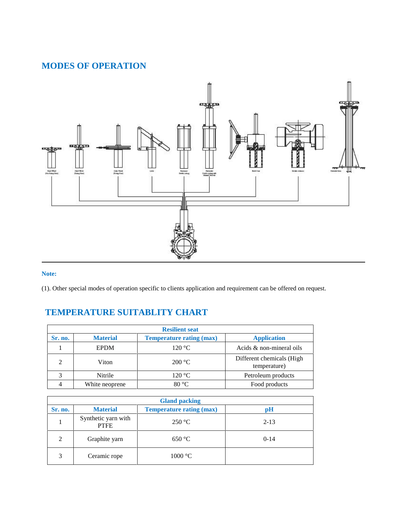### **MODES OF OPERATION**



### **Note:**

(1). Other special modes of operation specific to clients application and requirement can be offered on request.

### **TEMPERATURE SUITABLITY CHART**

| <b>Resilient seat</b> |                 |                                 |                                           |  |  |  |
|-----------------------|-----------------|---------------------------------|-------------------------------------------|--|--|--|
| Sr. no.               | <b>Material</b> | <b>Temperature rating (max)</b> | <b>Application</b>                        |  |  |  |
|                       | <b>EPDM</b>     | 120 °C                          | Acids $&$ non-mineral oils                |  |  |  |
|                       | Viton           | 200 °C                          | Different chemicals (High<br>temperature) |  |  |  |
|                       | Nitrile         | 120 °C                          | Petroleum products                        |  |  |  |
|                       | White neoprene  | $80^{\circ}$ C                  | Food products                             |  |  |  |

| <b>Gland packing</b>        |                                    |                                 |          |  |  |  |
|-----------------------------|------------------------------------|---------------------------------|----------|--|--|--|
| Sr. no.                     | <b>Material</b>                    | <b>Temperature rating (max)</b> | pH       |  |  |  |
|                             | Synthetic yarn with<br><b>PTFE</b> | 250 °C                          | $2 - 13$ |  |  |  |
| $\mathcal{D}_{\mathcal{L}}$ | Graphite yarn                      | 650 °C                          | $0 - 14$ |  |  |  |
| 3                           | Ceramic rope                       | $1000 \text{ °C}$               |          |  |  |  |